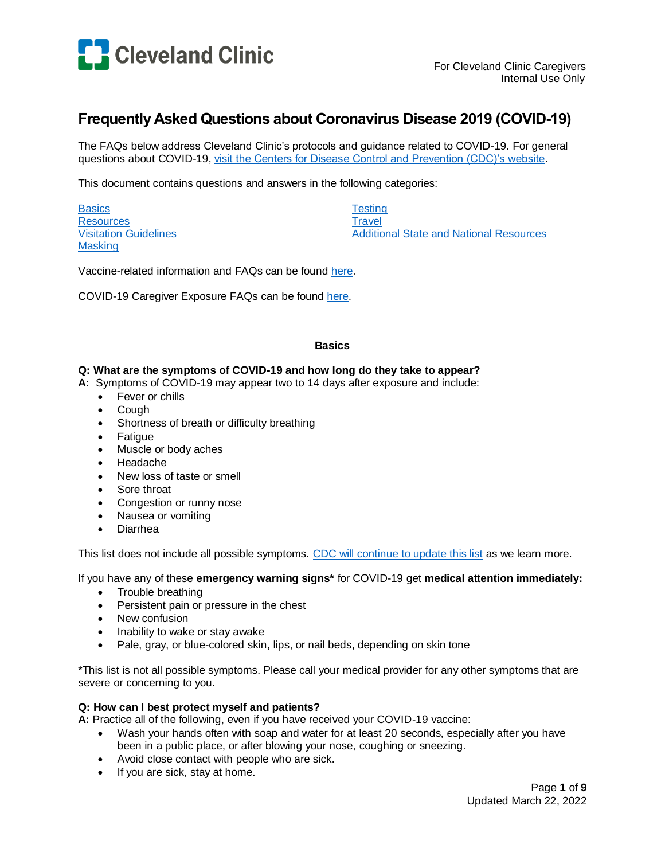

# **Frequently Asked Questions about Coronavirus Disease 2019 (COVID-19)**

The FAQs below address Cleveland Clinic's protocols and guidance related to COVID-19. For general questions about COVID-19, visit [the Centers for Disease Control and Prevention \(CDC\)'s website.](https://www.cdc.gov/)

This document contains questions and answers in the following categories:

**[Basics](#page-0-0) [Resources](#page-1-0)** [Visitation Guidelines](#page-1-1) **[Masking](#page-2-0)** 

**[Testing](#page-4-0) [Travel](#page-5-0)** [Additional State and National Resources](#page-7-0)

Vaccine-related information and FAQs can be found [here.](http://portals.ccf.org/occ/Infection-Prevention/COVID-19-Toolkit/Vaccines2)

<span id="page-0-0"></span>COVID-19 Caregiver Exposure FAQs can be found [here.](https://dnndocuments.ccf.org/occ/COVID19/5%20Caregivers/Caregiver_Exposure_Concerns_FAQs_3-22-2022.pdf)

#### **Basics**

#### **Q: What are the symptoms of COVID-19 and how long do they take to appear?**

- **A:** Symptoms of COVID-19 may appear two to 14 days after exposure and include:
	- Fever or chills
	- Cough
	- Shortness of breath or difficulty breathing
	- Fatigue
	- Muscle or body aches
	- Headache
	- New loss of taste or smell
	- Sore throat
	- Congestion or runny nose
	- Nausea or vomiting
	- Diarrhea

This list does not include all possible symptoms. [CDC will continue to update this list](https://www.cdc.gov/coronavirus/2019-ncov/symptoms-testing/symptoms.html) as we learn more.

If you have any of these **emergency warning signs\*** for COVID-19 get **medical attention immediately:**

- Trouble breathing
- Persistent pain or pressure in the chest
- New confusion
- Inability to wake or stay awake
- Pale, gray, or blue-colored skin, lips, or nail beds, depending on skin tone

\*This list is not all possible symptoms. Please call your medical provider for any other symptoms that are severe or concerning to you.

### **Q: How can I best protect myself and patients?**

**A:** Practice all of the following, even if you have received your COVID-19 vaccine:

- Wash your hands often with soap and water for at least 20 seconds, especially after you have been in a public place, or after blowing your nose, coughing or sneezing.
- Avoid close contact with people who are sick.
- If you are sick, stay at home.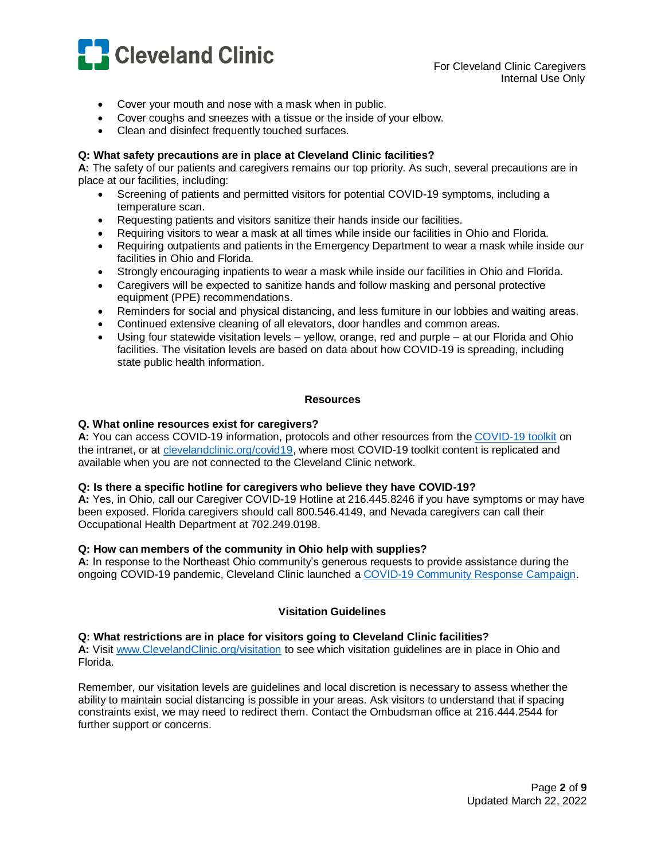

- Cover your mouth and nose with a mask when in public.
- Cover coughs and sneezes with a tissue or the inside of your elbow.
- Clean and disinfect frequently touched surfaces.

### **Q: What safety precautions are in place at Cleveland Clinic facilities?**

**A:** The safety of our patients and caregivers remains our top priority. As such, several precautions are in place at our facilities, including:

- Screening of patients and permitted visitors for potential COVID-19 symptoms, including a temperature scan.
- Requesting patients and visitors sanitize their hands inside our facilities.
- Requiring visitors to wear a mask at all times while inside our facilities in Ohio and Florida.
- Requiring outpatients and patients in the Emergency Department to wear a mask while inside our facilities in Ohio and Florida.
- Strongly encouraging inpatients to wear a mask while inside our facilities in Ohio and Florida.
- Caregivers will be expected to sanitize hands and follow masking and personal protective equipment (PPE) recommendations.
- Reminders for social and physical distancing, and less furniture in our lobbies and waiting areas.
- Continued extensive cleaning of all elevators, door handles and common areas.
- Using four statewide visitation levels yellow, orange, red and purple at our Florida and Ohio facilities. The visitation levels are based on data about how COVID-19 is spreading, including state public health information.

#### **Resources**

#### <span id="page-1-0"></span>**Q. What online resources exist for caregivers?**

**A:** You can access COVID-19 information, protocols and other resources from the [COVID-19 toolkit](http://portals.ccf.org/occ/Infection-Prevention/Coronavirus-Disease-2019-COVID-19) on the intranet, or at [clevelandclinic.org/covid19,](https://my.clevelandclinic.org/landing/medical-professionals-preparing-for-coronavirus) where most COVID-19 toolkit content is replicated and available when you are not connected to the Cleveland Clinic network.

### **Q: Is there a specific hotline for caregivers who believe they have COVID-19?**

**A:** Yes, in Ohio, call our Caregiver COVID-19 Hotline at 216.445.8246 if you have symptoms or may have been exposed. Florida caregivers should call 800.546.4149, and Nevada caregivers can call their Occupational Health Department at 702.249.0198.

#### **Q: How can members of the community in Ohio help with supplies?**

**A:** In response to the Northeast Ohio community's generous requests to provide assistance during the ongoing COVID-19 pandemic, Cleveland Clinic launched [a COVID-19 Community Response Campaign.](https://give.ccf.org/campaign/covid-19/c276951?_ga=2.186190953.1589136372.1585247978-645005560.1584134111)

### **Visitation Guidelines**

#### <span id="page-1-1"></span>**Q: What restrictions are in place for visitors going to Cleveland Clinic facilities?**

**A:** Visit [www.ClevelandClinic.org/visitation](http://www.clevelandclinic.org/visitation) to see which visitation guidelines are in place in Ohio and Florida.

Remember, our visitation levels are guidelines and local discretion is necessary to assess whether the ability to maintain social distancing is possible in your areas. Ask visitors to understand that if spacing constraints exist, we may need to redirect them. Contact the Ombudsman office at 216.444.2544 for further support or concerns.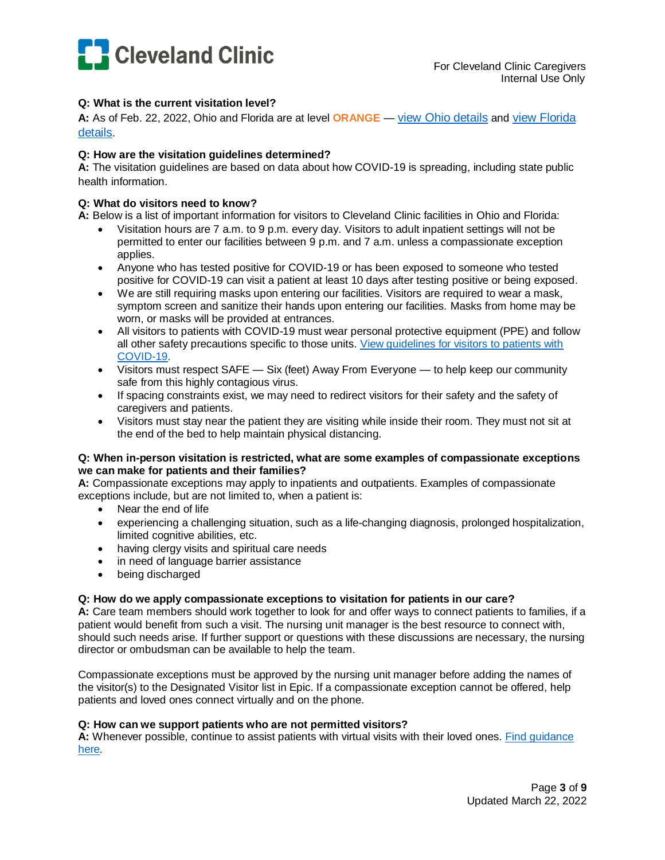

# **Q: What is the current visitation level?**

**A:** As of Feb. 22, 2022, Ohio and Florida are at level **ORANGE** — [view Ohio details](https://dnndocuments.ccf.org/occ/COVID19/4%20Visitation%20Guidelines/Current%20Ohio%20Visitation%20Level.pdf) and [view Florida](https://dnndocuments.ccf.org/occ/_layouts/15/WopiFrame.aspx?sourcedoc=/occ/COVID19/4%20Visitation%20Guidelines/Current%20Florida%20Visitation%20Level.pdf&action=default)  [details](https://dnndocuments.ccf.org/occ/_layouts/15/WopiFrame.aspx?sourcedoc=/occ/COVID19/4%20Visitation%20Guidelines/Current%20Florida%20Visitation%20Level.pdf&action=default).

# **Q: How are the visitation guidelines determined?**

**A:** The visitation guidelines are based on data about how COVID-19 is spreading, including state public health information.

### **Q: What do visitors need to know?**

**A:** Below is a list of important information for visitors to Cleveland Clinic facilities in Ohio and Florida:

- Visitation hours are 7 a.m. to 9 p.m. every day. Visitors to adult inpatient settings will not be permitted to enter our facilities between 9 p.m. and 7 a.m. unless a compassionate exception applies.
- Anyone who has tested positive for COVID-19 or has been exposed to someone who tested positive for COVID-19 can visit a patient at least 10 days after testing positive or being exposed.
- We are still requiring masks upon entering our facilities. Visitors are required to wear a mask, symptom screen and sanitize their hands upon entering our facilities. Masks from home may be worn, or masks will be provided at entrances.
- All visitors to patients with COVID-19 must wear personal protective equipment (PPE) and follow all other safety precautions specific to those units. [View guidelines for visitors to patients with](https://dnndocuments.ccf.org/occ/_layouts/15/WopiFrame.aspx?sourcedoc=/occ/COVID19/4%20Visitation%20Guidelines/21-CCC-2291409%20Guidelines%20Visiting%20COVID%2B%20patients%20v3.pdf&action=default)  [COVID-19](https://dnndocuments.ccf.org/occ/_layouts/15/WopiFrame.aspx?sourcedoc=/occ/COVID19/4%20Visitation%20Guidelines/21-CCC-2291409%20Guidelines%20Visiting%20COVID%2B%20patients%20v3.pdf&action=default).
- Visitors must respect SAFE Six (feet) Away From Everyone to help keep our community safe from this highly contagious virus.
- If spacing constraints exist, we may need to redirect visitors for their safety and the safety of caregivers and patients.
- Visitors must stay near the patient they are visiting while inside their room. They must not sit at the end of the bed to help maintain physical distancing.

### **Q: When in-person visitation is restricted, what are some examples of compassionate exceptions we can make for patients and their families?**

**A:** Compassionate exceptions may apply to inpatients and outpatients. Examples of compassionate exceptions include, but are not limited to, when a patient is:

- Near the end of life
- experiencing a challenging situation, such as a life-changing diagnosis, prolonged hospitalization, limited cognitive abilities, etc.
- having clergy visits and spiritual care needs
- in need of language barrier assistance
- being discharged

### **Q: How do we apply compassionate exceptions to visitation for patients in our care?**

**A:** Care team members should work together to look for and offer ways to connect patients to families, if a patient would benefit from such a visit. The nursing unit manager is the best resource to connect with, should such needs arise. If further support or questions with these discussions are necessary, the nursing director or ombudsman can be available to help the team.

Compassionate exceptions must be approved by the nursing unit manager before adding the names of the visitor(s) to the Designated Visitor list in Epic. If a compassionate exception cannot be offered, help patients and loved ones connect virtually and on the phone.

### **Q: How can we support patients who are not permitted visitors?**

<span id="page-2-0"></span>**A:** Whenever possible, continue to assist patients with virtual visits with their loved ones. [Find guidance](http://dnndocuments.ccf.org/occ/COVID19/Coronavirus%20-%20Virtual%20Visitation%20Reference%20Guide.pdf)  [here](http://dnndocuments.ccf.org/occ/COVID19/Coronavirus%20-%20Virtual%20Visitation%20Reference%20Guide.pdf).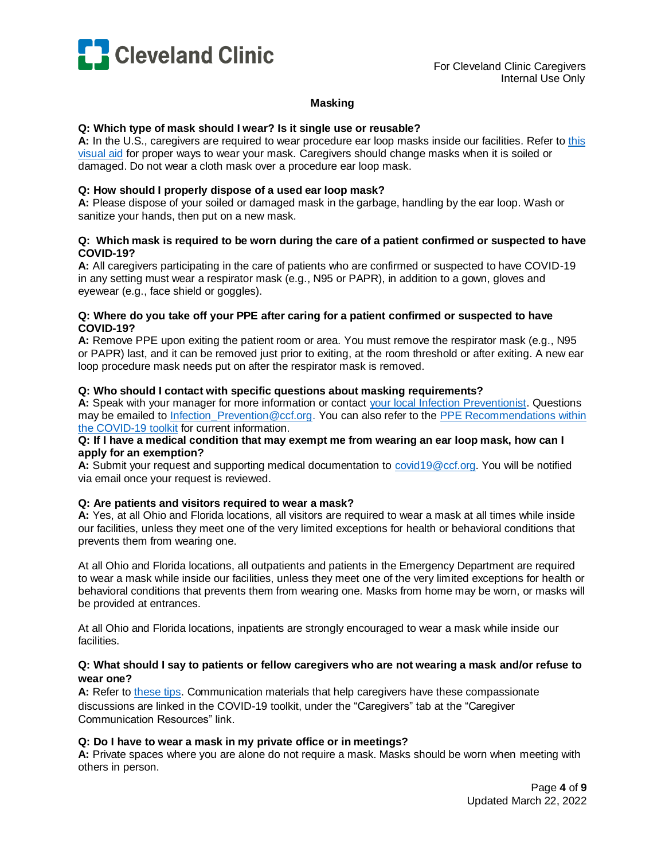

### **Masking**

### **Q: Which type of mask should I wear? Is it single use or reusable?**

**A:** In the U.S., caregivers are required to wear procedure ear loop masks inside our facilities. Refer to [this](http://dnndocuments.ccf.org/occ/_layouts/15/WopiFrame.aspx?sourcedoc=/occ/COVID19/2%20PPE/COVID-19%20How%20to%20Wear%20and%20How%20Not%20to%20Wear%20a%20Cloth%20Mask.PDF&action=default)  [visual aid](http://dnndocuments.ccf.org/occ/_layouts/15/WopiFrame.aspx?sourcedoc=/occ/COVID19/2%20PPE/COVID-19%20How%20to%20Wear%20and%20How%20Not%20to%20Wear%20a%20Cloth%20Mask.PDF&action=default) for proper ways to wear your mask. Caregivers should change masks when it is soiled or damaged. Do not wear a cloth mask over a procedure ear loop mask.

### **Q: How should I properly dispose of a used ear loop mask?**

**A:** Please dispose of your soiled or damaged mask in the garbage, handling by the ear loop. Wash or sanitize your hands, then put on a new mask.

### **Q: Which mask is required to be worn during the care of a patient confirmed or suspected to have COVID-19?**

**A:** All caregivers participating in the care of patients who are confirmed or suspected to have COVID-19 in any setting must wear a respirator mask (e.g., N95 or PAPR), in addition to a gown, gloves and eyewear (e.g., face shield or goggles).

### **Q: Where do you take off your PPE after caring for a patient confirmed or suspected to have COVID-19?**

**A:** Remove PPE upon exiting the patient room or area. You must remove the respirator mask (e.g., N95 or PAPR) last, and it can be removed just prior to exiting, at the room threshold or after exiting. A new ear loop procedure mask needs put on after the respirator mask is removed.

### **Q: Who should I contact with specific questions about masking requirements?**

A: Speak with your manager for more information or contact [your local Infection Preventionist.](http://dnndocuments.ccf.org/occ/InfectionPrevention/Cleveland%20Clinic%20Enterprise%20IP%20Contact%20List%20for%20web%20site%20with%20pics_.pdf) Questions may be emailed to Infection Prevention@ccf.org. You can also refer to the PPE Recommendations within [the COVID-19 toolkit](http://portals.ccf.org/occ/Infection-Prevention/COVID-19-Toolkit/PPE) for current information.

### **Q: If I have a medical condition that may exempt me from wearing an ear loop mask, how can I apply for an exemption?**

**A:** Submit your request and supporting medical documentation to [covid19@ccf.org.](mailto:covid19@ccf.org) You will be notified via email once your request is reviewed.

### **Q: Are patients and visitors required to wear a mask?**

**A:** Yes, at all Ohio and Florida locations, all visitors are required to wear a mask at all times while inside our facilities, unless they meet one of the very limited exceptions for health or behavioral conditions that prevents them from wearing one.

At all Ohio and Florida locations, all outpatients and patients in the Emergency Department are required to wear a mask while inside our facilities, unless they meet one of the very limited exceptions for health or behavioral conditions that prevents them from wearing one. Masks from home may be worn, or masks will be provided at entrances.

At all Ohio and Florida locations, inpatients are strongly encouraged to wear a mask while inside our facilities.

### **Q: What should I say to patients or fellow caregivers who are not wearing a mask and/or refuse to wear one?**

**A:** Refer to [these tips.](http://portals.ccf.org/today/Home/EDN-Masters/Article-Viewer/ArtMID/35805/ArticleID/33363/Patient-masking-updates-for-US-locations) Communication materials that help caregivers have these compassionate discussions are linked in the COVID-19 toolkit, under the "Caregivers" tab at the "Caregiver Communication Resources" link.

### **Q: Do I have to wear a mask in my private office or in meetings?**

**A:** Private spaces where you are alone do not require a mask. Masks should be worn when meeting with others in person.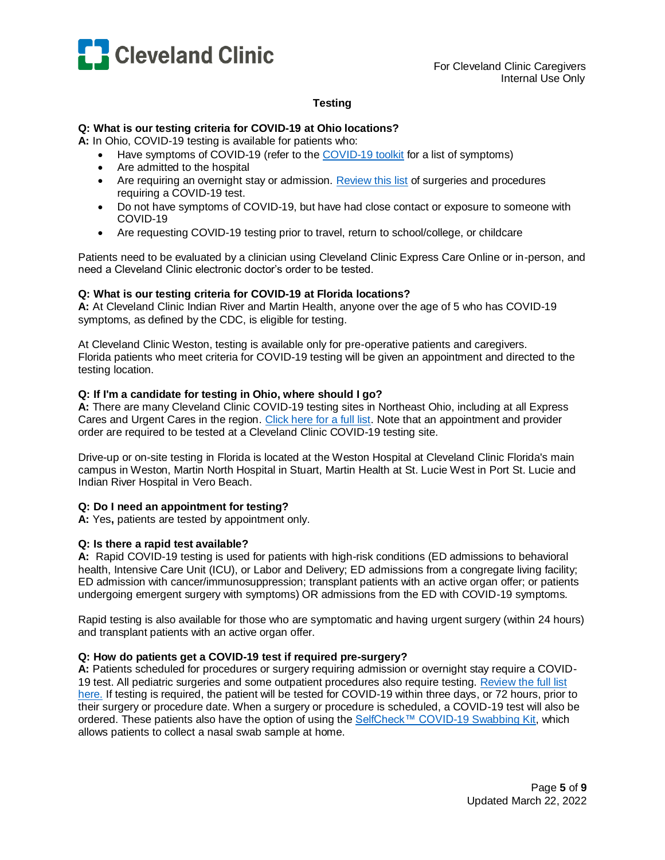

# **Testing**

### <span id="page-4-0"></span>**Q: What is our testing criteria for COVID-19 at Ohio locations?**

**A:** In Ohio, COVID-19 testing is available for patients who:

- Have symptoms of COVID-19 (refer to the [COVID-19 toolkit](http://dnndocuments.ccf.org/occ/COVID19/COVID%20Hotline_7.22.20.pdf) for a list of symptoms)
- Are admitted to the hospital
- Are requiring an overnight stay or admission. [Review this list](http://dnndocuments.ccf.org/occ/_layouts/15/WopiFrame.aspx?sourcedoc=/occ/COVID19/1%20Testing/Surgeries%20and%20Procedures%20requiring%20a%20COVID%20test.pdf&action=default) of surgeries and procedures requiring a COVID-19 test.
- Do not have symptoms of COVID-19, but have had close contact or exposure to someone with COVID-19
- Are requesting COVID-19 testing prior to travel, return to school/college, or childcare

Patients need to be evaluated by a clinician using Cleveland Clinic Express Care Online or in-person, and need a Cleveland Clinic electronic doctor's order to be tested.

### **Q: What is our testing criteria for COVID-19 at Florida locations?**

**A:** At Cleveland Clinic Indian River and Martin Health, anyone over the age of 5 who has COVID-19 symptoms, as defined by the CDC, is eligible for testing.

At Cleveland Clinic Weston, testing is available only for pre-operative patients and caregivers. Florida patients who meet criteria for COVID-19 testing will be given an appointment and directed to the testing location.

# **Q: If I'm a candidate for testing in Ohio, where should I go?**

**A:** There are many Cleveland Clinic COVID-19 testing sites in Northeast Ohio, including at all Express Cares and Urgent Cares in the region. [Click here for a full list.](http://dnndocuments.ccf.org/occ/_layouts/15/WopiFrame.aspx?sourcedoc=/occ/COVID19/1%20Testing/COVID-19%20Testing%20Locations%20and%20Hours.pdf&action=default) Note that an appointment and provider order are required to be tested at a Cleveland Clinic COVID-19 testing site.

Drive-up or on-site testing in Florida is located at the Weston Hospital at Cleveland Clinic Florida's main campus in Weston, Martin North Hospital in Stuart, Martin Health at St. Lucie West in Port St. Lucie and Indian River Hospital in Vero Beach.

# **Q: Do I need an appointment for testing?**

**A:** Yes**,** patients are tested by appointment only.

# **Q: Is there a rapid test available?**

**A:** Rapid COVID-19 testing is used for patients with high-risk conditions (ED admissions to behavioral health, Intensive Care Unit (ICU), or Labor and Delivery; ED admissions from a congregate living facility; ED admission with cancer/immunosuppression; transplant patients with an active organ offer; or patients undergoing emergent surgery with symptoms) OR admissions from the ED with COVID-19 symptoms.

Rapid testing is also available for those who are symptomatic and having urgent surgery (within 24 hours) and transplant patients with an active organ offer.

### **Q: How do patients get a COVID-19 test if required pre-surgery?**

**A:** Patients scheduled for procedures or surgery requiring admission or overnight stay require a COVID-19 test. All pediatric surgeries and some outpatient procedures also require testing. [Review the full list](http://dnndocuments.ccf.org/occ/_layouts/15/WopiFrame.aspx?sourcedoc=/occ/COVID19/1%20Testing/Surgeries%20and%20Procedures%20requiring%20a%20COVID%20test.pdf&action=default)  [here.](http://dnndocuments.ccf.org/occ/_layouts/15/WopiFrame.aspx?sourcedoc=/occ/COVID19/1%20Testing/Surgeries%20and%20Procedures%20requiring%20a%20COVID%20test.pdf&action=default) If testing is required, the patient will be tested for COVID-19 within three days, or 72 hours, prior to their surgery or procedure date. When a surgery or procedure is scheduled, a COVID-19 test will also be ordered. These patients also have the option of using the [SelfCheck™ COVID-19 Swabbing Kit,](https://my.clevelandclinic.org/landing/selfcheck-covid-19?utm_campaign=selfcheck-url&utm_medium=offline&utm_source=redirect&utm_content=selfcheck-url) which allows patients to collect a nasal swab sample at home.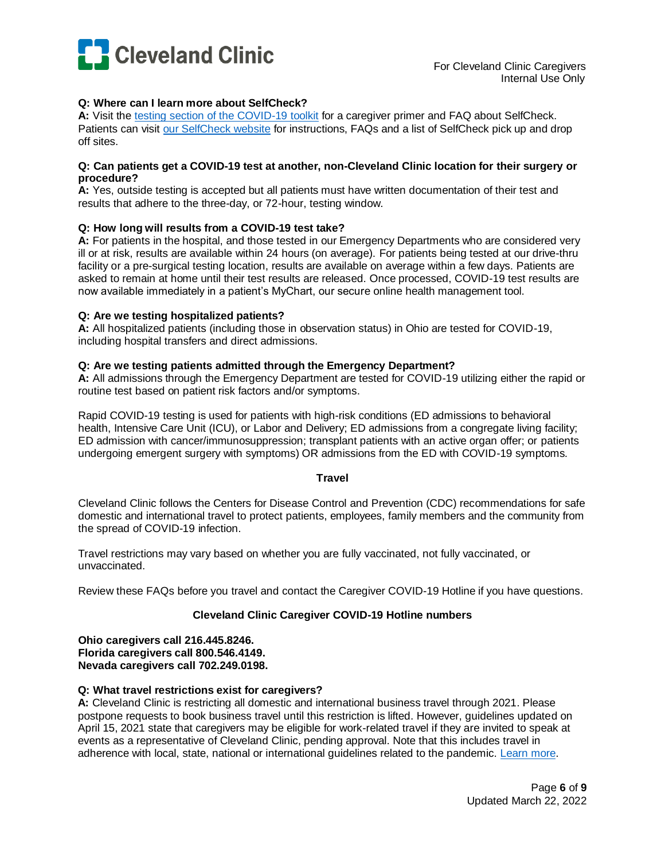

# **Q: Where can I learn more about SelfCheck?**

**A:** Visit th[e testing section of the COVID-19 toolkit](http://portals.ccf.org/occ/Infection-Prevention/COVID-19-Toolkit/Testing) for a caregiver primer and FAQ about SelfCheck. Patients can visit [our SelfCheck website](https://my.clevelandclinic.org/landing/selfcheck-covid-19?utm_campaign=selfcheck-url&utm_medium=offline&utm_source=redirect&utm_content=selfcheck-url) for instructions, FAQs and a list of SelfCheck pick up and drop off sites.

#### **Q: Can patients get a COVID-19 test at another, non-Cleveland Clinic location for their surgery or procedure?**

**A:** Yes, outside testing is accepted but all patients must have written documentation of their test and results that adhere to the three-day, or 72-hour, testing window.

### **Q: How long will results from a COVID-19 test take?**

**A:** For patients in the hospital, and those tested in our Emergency Departments who are considered very ill or at risk, results are available within 24 hours (on average). For patients being tested at our drive-thru facility or a pre-surgical testing location, results are available on average within a few days. Patients are asked to remain at home until their test results are released. Once processed, COVID-19 test results are now available immediately in a patient's MyChart, our secure online health management tool.

#### **Q: Are we testing hospitalized patients?**

**A:** All hospitalized patients (including those in observation status) in Ohio are tested for COVID-19, including hospital transfers and direct admissions.

#### **Q: Are we testing patients admitted through the Emergency Department?**

**A:** All admissions through the Emergency Department are tested for COVID-19 utilizing either the rapid or routine test based on patient risk factors and/or symptoms.

Rapid COVID-19 testing is used for patients with high-risk conditions (ED admissions to behavioral health, Intensive Care Unit (ICU), or Labor and Delivery; ED admissions from a congregate living facility; ED admission with cancer/immunosuppression; transplant patients with an active organ offer; or patients undergoing emergent surgery with symptoms) OR admissions from the ED with COVID-19 symptoms.

#### **Travel**

<span id="page-5-0"></span>Cleveland Clinic follows the Centers for Disease Control and Prevention (CDC) recommendations for safe domestic and international travel to protect patients, employees, family members and the community from the spread of COVID-19 infection.

Travel restrictions may vary based on whether you are fully vaccinated, not fully vaccinated, or unvaccinated.

Review these FAQs before you travel and contact the Caregiver COVID-19 Hotline if you have questions.

### **Cleveland Clinic Caregiver COVID-19 Hotline numbers**

**Ohio caregivers call 216.445.8246. Florida caregivers call 800.546.4149. Nevada caregivers call 702.249.0198.**

#### **Q: What travel restrictions exist for caregivers?**

**A:** Cleveland Clinic is restricting all domestic and international business travel through 2021. Please postpone requests to book business travel until this restriction is lifted. However, guidelines updated on April 15, 2021 state that caregivers may be eligible for work-related travel if they are invited to speak at events as a representative of Cleveland Clinic, pending approval. Note that this includes travel in adherence with local, state, national or international guidelines related to the pandemic. [Learn more.](http://portals.ccf.org/today/Home/EDN-Masters/Article-Viewer/ArtMID/35805/ArticleID/35760/Updated-guidelines-for-work-related-travel-for-speaking-engagements)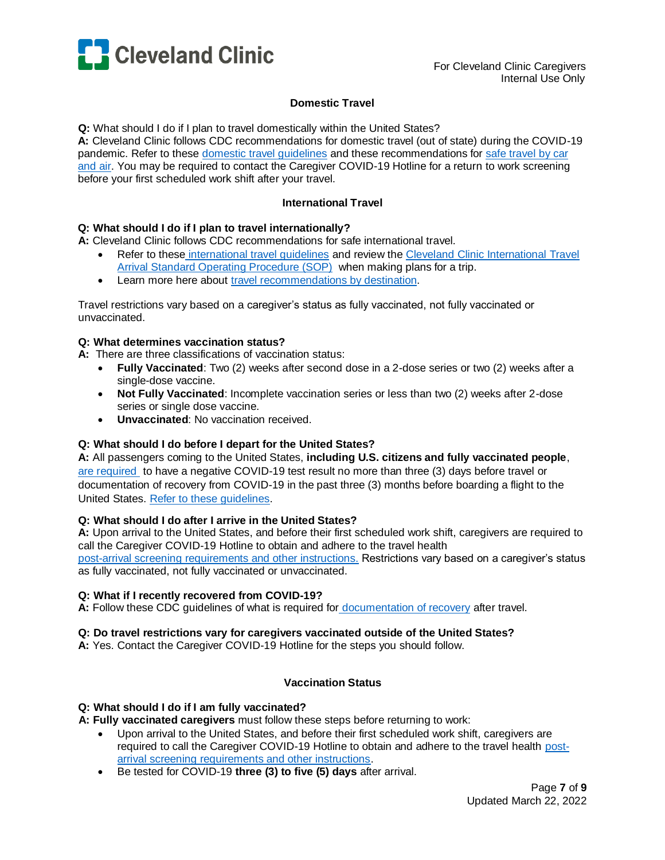

# **Domestic Travel**

**Q:** What should I do if I plan to travel domestically within the United States?

**A:** Cleveland Clinic follows CDC recommendations for domestic travel (out of state) during the COVID-19 pandemic. Refer to these [domestic travel guidelines](https://www.cdc.gov/coronavirus/2019-ncov/travelers/travel-during-covid19.html) and these recommendations for [safe travel by car](https://www.cdc.gov/coronavirus/2019-ncov/travelers/travel-risk.html#transportation)  [and air.](https://www.cdc.gov/coronavirus/2019-ncov/travelers/travel-risk.html#transportation) You may be required to contact the Caregiver COVID-19 Hotline for a return to work screening before your first scheduled work shift after your travel.

# **International Travel**

### **Q: What should I do if I plan to travel internationally?**

**A:** Cleveland Clinic follows CDC recommendations for safe international travel.

- Refer to these [international travel guidelines](https://www.cdc.gov/coronavirus/2019-ncov/travelers/international-travel-during-covid19.html) and review th[e Cleveland Clinic International Travel](https://ccf.policytech.com/docview/?docid=67268)  [Arrival Standard Operating Procedure \(SOP\)](https://ccf.policytech.com/docview/?docid=67268) when making plans for a trip.
- Learn more here about [travel recommendations by destination.](https://www.cdc.gov/coronavirus/2019-ncov/travelers/map-and-travel-notices.html)

Travel restrictions vary based on a caregiver's status as fully vaccinated, not fully vaccinated or unvaccinated.

### **Q: What determines vaccination status?**

**A:** There are three classifications of vaccination status:

- **Fully Vaccinated**: Two (2) weeks after second dose in a 2-dose series or two (2) weeks after a single-dose vaccine.
- **Not Fully Vaccinated**: Incomplete vaccination series or less than two (2) weeks after 2-dose series or single dose vaccine.
- **Unvaccinated**: No vaccination received.

# **Q: What should I do before I depart for the United States?**

**A:** All passengers coming to the United States, **including U.S. citizens and fully vaccinated people**, [are required](https://www.cdc.gov/coronavirus/2019-ncov/travelers/testing-international-air-travelers.html) to have a negative COVID-19 test result no more than three (3) days before travel or documentation of recovery from COVID-19 in the past three (3) months before boarding a flight to the United States. [Refer to these guidelines.](https://www.cdc.gov/coronavirus/2019-ncov/travelers/international-travel-during-covid19.html)

### **Q: What should I do after I arrive in the United States?**

**A:** Upon arrival to the United States, and before their first scheduled work shift, caregivers are required to call the Caregiver COVID-19 Hotline to obtain and adhere to the travel health [post-arrival screening requirements and other instructions.](https://www.cdc.gov/coronavirus/2019-ncov/travelers/infographic/infographic-international-quick-reference.html) Restrictions vary based on a caregiver's status as fully vaccinated, not fully vaccinated or unvaccinated.

### **Q: What if I recently recovered from COVID-19?**

**A:** Follow these CDC guidelines of what is required for [documentation of recovery](https://www.cdc.gov/coronavirus/2019-ncov/travelers/after-travel-precautions.html) after travel.

### **Q: Do travel restrictions vary for caregivers vaccinated outside of the United States?**

**A:** Yes. Contact the Caregiver COVID-19 Hotline for the steps you should follow.

# **Vaccination Status**

### **Q: What should I do if I am fully vaccinated?**

**A: Fully vaccinated caregivers** must follow these steps before returning to work:

- Upon arrival to the United States, and before their first scheduled work shift, caregivers are required to call the Caregiver COVID-19 Hotline to obtain and adhere to the travel health [post](https://www.cdc.gov/coronavirus/2019-ncov/travelers/infographic/infographic-international-quick-reference.html)[arrival screening requirements and other instructions.](https://www.cdc.gov/coronavirus/2019-ncov/travelers/infographic/infographic-international-quick-reference.html)
- Be tested for COVID-19 **three (3) to five (5) days** after arrival.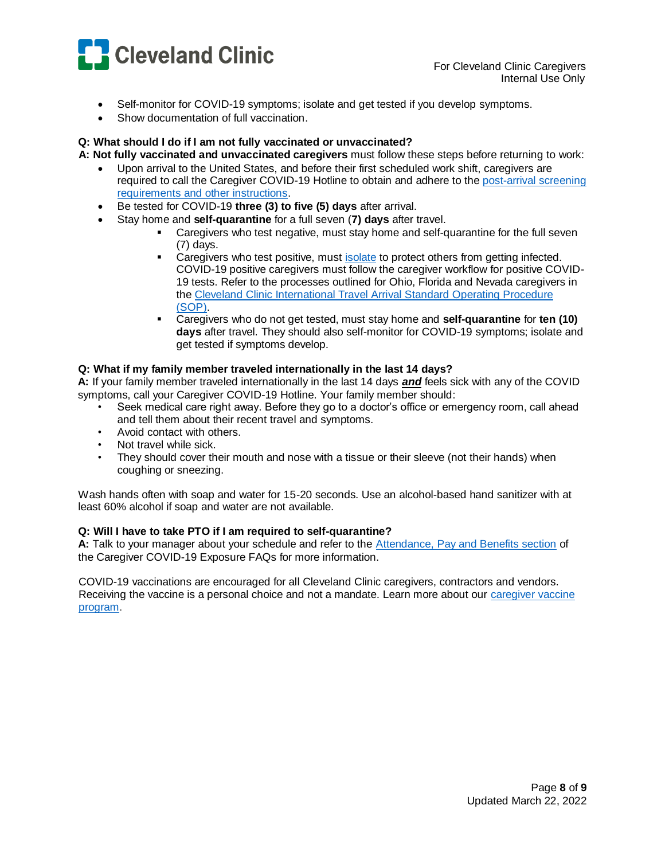

- Self-monitor for COVID-19 symptoms; isolate and get tested if you develop symptoms.
- Show documentation of full vaccination.

# **Q: What should I do if I am not fully vaccinated or unvaccinated?**

**A: Not fully vaccinated and unvaccinated caregivers** must follow these steps before returning to work:

- Upon arrival to the United States, and before their first scheduled work shift, caregivers are required to call the Caregiver COVID-19 Hotline to obtain and adhere to the [post-arrival screening](https://www.cdc.gov/coronavirus/2019-ncov/travelers/infographic/infographic-international-quick-reference.html)  [requirements and other instructions.](https://www.cdc.gov/coronavirus/2019-ncov/travelers/infographic/infographic-international-quick-reference.html)
- Be tested for COVID-19 **three (3) to five (5) days** after arrival.
- Stay home and **self-quarantine** for a full seven (**7) days** after travel.
	- Caregivers who test negative, must stay home and self-quarantine for the full seven (7) days.
	- **Caregivers who test positive, must [isolate](https://www.cdc.gov/coronavirus/2019-ncov/if-you-are-sick/isolation.html) to protect others from getting infected.** COVID-19 positive caregivers must follow the caregiver workflow for positive COVID-19 tests. Refer to the processes outlined for Ohio, Florida and Nevada caregivers in the [Cleveland Clinic International Travel Arrival Standard Operating Procedure](https://ccf.policytech.com/docview/?docid=67268)  [\(SOP\).](https://ccf.policytech.com/docview/?docid=67268)
	- Caregivers who do not get tested, must stay home and **self-quarantine** for **ten (10) days** after travel. They should also self-monitor for COVID-19 symptoms; isolate and get tested if symptoms develop.

### **Q: What if my family member traveled internationally in the last 14 days?**

**A:** If your family member traveled internationally in the last 14 days *and* feels sick with any of the COVID symptoms, call your Caregiver COVID-19 Hotline. Your family member should:

- Seek medical care right away. Before they go to a doctor's office or emergency room, call ahead and tell them about their recent travel and symptoms.
- Avoid contact with others.
- Not travel while sick.
- They should cover their mouth and nose with a tissue or their sleeve (not their hands) when coughing or sneezing.

Wash hands often with soap and water for 15-20 seconds. Use an alcohol-based hand sanitizer with at least 60% alcohol if soap and water are not available.

### **Q: Will I have to take PTO if I am required to self-quarantine?**

**A:** Talk to your manager about your schedule and refer to the [Attendance, Pay and Benefits section](http://dnndocuments.ccf.org/occ/_layouts/15/WopiFrame.aspx?sourcedoc=/occ/COVID19/5%20Caregivers/COVID-2019_Caregiver-Exposure-FAQs.pdf&action=default) of the Caregiver COVID-19 Exposure FAQs for more information.

<span id="page-7-0"></span>COVID-19 vaccinations are encouraged for all Cleveland Clinic caregivers, contractors and vendors. Receiving the vaccine is a personal choice and not a mandate. Learn more about our [caregiver vaccine](http://portals.ccf.org/occ/Infection-Prevention/COVID-19-Toolkit/Vaccines2)  [program.](http://portals.ccf.org/occ/Infection-Prevention/COVID-19-Toolkit/Vaccines2)